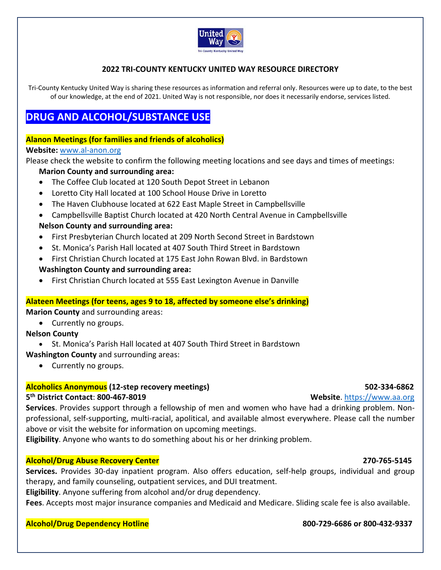

### **2022 TRI‐COUNTY KENTUCKY UNITED WAY RESOURCE DIRECTORY**

Tri-County Kentucky United Way is sharing these resources as information and referral only. Resources were up to date, to the best of our knowledge, at the end of 2021. United Way is not responsible, nor does it necessarily endorse, services listed.

# **DRUG AND ALCOHOL/SUBSTANCE USE**

### **Alanon Meetings (for families and friends of alcoholics)**

### **Website:** www.al‐anon.org

Please check the website to confirm the following meeting locations and see days and times of meetings:

### **Marion County and surrounding area:**

- The Coffee Club located at 120 South Depot Street in Lebanon
- Loretto City Hall located at 100 School House Drive in Loretto
- The Haven Clubhouse located at 622 East Maple Street in Campbellsville
- Campbellsville Baptist Church located at 420 North Central Avenue in Campbellsville **Nelson County and surrounding area:**
- First Presbyterian Church located at 209 North Second Street in Bardstown
- St. Monica's Parish Hall located at 407 South Third Street in Bardstown
- First Christian Church located at 175 East John Rowan Blvd. in Bardstown **Washington County and surrounding area:**
- First Christian Church located at 555 East Lexington Avenue in Danville

### **Alateen Meetings (for teens, ages 9 to 18, affected by someone else's drinking)**

**Marion County** and surrounding areas:

Currently no groups.

### **Nelson County**

- St. Monica's Parish Hall located at 407 South Third Street in Bardstown
- **Washington County** and surrounding areas:
	- Currently no groups.

### **Alcoholics Anonymous (12‐step recovery meetings) 502‐334‐6862**

### **5th District Contact**: **800‐467‐8019 Website**. https://www.aa.org

**Services**. Provides support through a fellowship of men and women who have had a drinking problem. Non‐ professional, self‐supporting, multi‐racial, apolitical, and available almost everywhere. Please call the number above or visit the website for information on upcoming meetings.

**Eligibility**. Anyone who wants to do something about his or her drinking problem.

### **Alcohol/Drug Abuse Recovery Center 270‐765‐5145**

Services. Provides 30-day inpatient program. Also offers education, self-help groups, individual and group therapy, and family counseling, outpatient services, and DUI treatment.

**Eligibility**. Anyone suffering from alcohol and/or drug dependency.

**Fees**. Accepts most major insurance companies and Medicaid and Medicare. Sliding scale fee is also available.

### **Alcohol/Drug Dependency Hotline 800‐729‐6686 or 800‐432‐9337**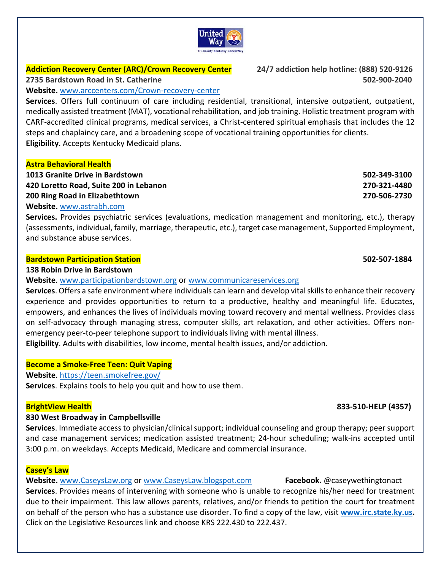# United wav

### **Addiction Recovery Center (ARC)/Crown Recovery Center 24/7 addiction help hotline: (888) 520‐9126**

### **Website.** www.arccenters.com/Crown‐recovery‐center

**Services**. Offers full continuum of care including residential, transitional, intensive outpatient, outpatient, medically assisted treatment (MAT), vocational rehabilitation, and job training. Holistic treatment program with CARF‐accredited clinical programs, medical services, a Christ‐centered spiritual emphasis that includes the 12 steps and chaplaincy care, and a broadening scope of vocational training opportunities for clients. **Eligibility**. Accepts Kentucky Medicaid plans.

### **Astra Behavioral Health**

| 1013 Granite Drive in Bardstown        | 502-349-3100 |
|----------------------------------------|--------------|
| 420 Loretto Road, Suite 200 in Lebanon | 270-321-4480 |
| 200 Ring Road in Elizabethtown         | 270-506-2730 |
|                                        |              |

### **Website.** www.astrabh.com

**Services.**  Provides psychiatric services (evaluations, medication management and monitoring, etc.), therapy (assessments, individual, family, marriage, therapeutic, etc.), target case management, Supported Employment, and substance abuse services.

### **Bardstown Participation Station 502‐507‐1884**

### **138 Robin Drive in Bardstown**

**Website**. www.participationbardstown.org or www.communicareservices.org

**Services**. Offers a safe environment where individuals can learn and develop vital skills to enhance their recovery experience and provides opportunities to return to a productive, healthy and meaningful life. Educates, empowers, and enhances the lives of individuals moving toward recovery and mental wellness. Provides class on self‐advocacy through managing stress, computer skills, art relaxation, and other activities. Offers non‐ emergency peer-to-peer telephone support to individuals living with mental illness.

**Eligibility**. Adults with disabilities, low income, mental health issues, and/or addiction.

### **Become a Smoke‐Free Teen: Quit Vaping**

**Website**. https://teen.smokefree.gov/

**Services**. Explains tools to help you quit and how to use them.

### **830 West Broadway in Campbellsville**

**Services**. Immediate access to physician/clinical support; individual counseling and group therapy; peer support and case management services; medication assisted treatment; 24-hour scheduling; walk-ins accepted until 3:00 p.m. on weekdays. Accepts Medicaid, Medicare and commercial insurance.

### **Casey's Law**

**Website.** www.CaseysLaw.org or www.CaseysLaw.blogspot.com **Facebook.** @caseywethingtonact **Services**. Provides means of intervening with someone who is unable to recognize his/her need for treatment due to their impairment. This law allows parents, relatives, and/or friends to petition the court for treatment on behalf of the person who has a substance use disorder. To find a copy of the law, visit **www.irc.state.ky.us.**  Click on the Legislative Resources link and choose KRS 222.430 to 222.437.

**2735 Bardstown Road in St. Catherine 502‐900‐2040**

### **BrightView Health 833‐510‐HELP (4357)**

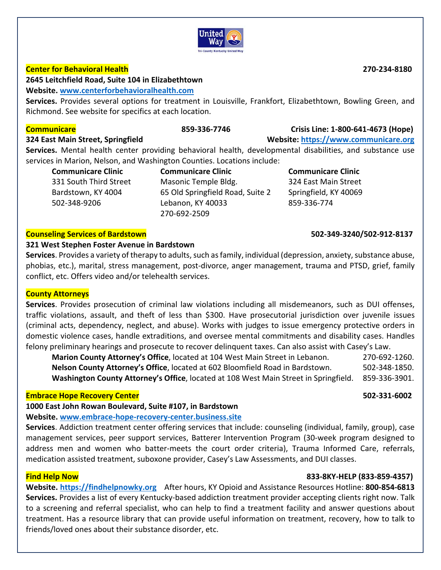

### **Center for Behavioral Health 270‐234‐8180**

**2645 Leitchfield Road, Suite 104 in Elizabethtown** 

### **Website. www.centerforbehavioralhealth.com**

Services. Provides several options for treatment in Louisville, Frankfort, Elizabethtown, Bowling Green, and Richmond. See website for specifics at each location.

### **Communicare 859‐336‐7746 Crisis Line: 1‐800‐641‐4673 (Hope)**

**324 East Main Street, Springfield Website: https://www.communicare.org**

**Services.**  Mental health center providing behavioral health, developmental disabilities, and substance use services in Marion, Nelson, and Washington Counties. Locations include:

| <b>Communicare Clinic</b> |
|---------------------------|
| 331 South Third Street    |
| Bardstown, KY 4004        |
| 502-348-9206              |

**Communicare Clinic**  Masonic Temple Bldg. 65 Old Springfield Road, Suite 2 Lebanon, KY 40033 270‐692‐2509

**Communicare Clinic**  324 East Main Street Springfield, KY 40069 859‐336‐774

### **Counseling Services of Bardstown 502‐349‐3240/502‐912‐8137**

### **321 West Stephen Foster Avenue in Bardstown**

**Services**. Provides a variety of therapy to adults, such as family, individual (depression, anxiety, substance abuse, phobias, etc.), marital, stress management, post‐divorce, anger management, trauma and PTSD, grief, family conflict, etc. Offers video and/or telehealth services.

### **County Attorneys**

Services. Provides prosecution of criminal law violations including all misdemeanors, such as DUI offenses, traffic violations, assault, and theft of less than \$300. Have prosecutorial jurisdiction over juvenile issues (criminal acts, dependency, neglect, and abuse). Works with judges to issue emergency protective orders in domestic violence cases, handle extraditions, and oversee mental commitments and disability cases. Handles felony preliminary hearings and prosecute to recover delinquent taxes. Can also assist with Casey's Law.

**Marion County Attorney's Office**, located at 104 West Main Street in Lebanon. 270‐692‐1260. **Nelson County Attorney's Office**, located at 602 Bloomfield Road in Bardstown. 502‐348‐1850. **Washington County Attorney's Office**, located at 108 West Main Street in Springfield. 859‐336‐3901.

### **Embrace Hope Recovery Center 502‐331‐6002**

**1000 East John Rowan Boulevard, Suite #107, in Bardstown** 

**Website. www.embrace‐hope‐recovery‐center.business.site**

**Services**. Addiction treatment center offering services that include: counseling (individual, family, group), case management services, peer support services, Batterer Intervention Program (30‐week program designed to address men and women who batter-meets the court order criteria), Trauma Informed Care, referrals, medication assisted treatment, suboxone provider, Casey's Law Assessments, and DUI classes.

### **Find Help Now 833‐8KY‐HELP (833‐859‐4357)**

**Website. https://findhelpnowky.org** After hours, KY Opioid and Assistance Resources Hotline: **800‐854‐6813 Services.** Provides a list of every Kentucky‐based addiction treatment provider accepting clients right now. Talk to a screening and referral specialist, who can help to find a treatment facility and answer questions about treatment. Has a resource library that can provide useful information on treatment, recovery, how to talk to friends/loved ones about their substance disorder, etc.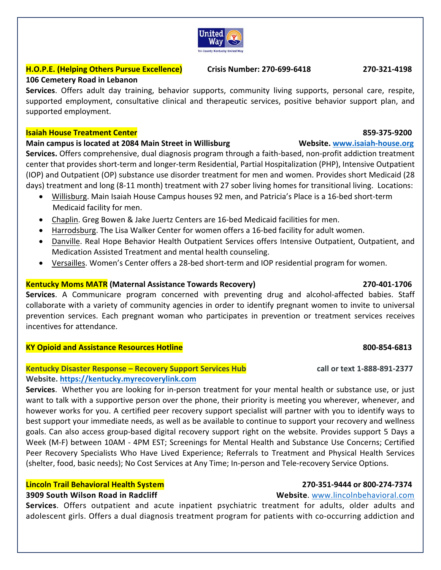### **H.O.P.E. (Helping Others Pursue Excellence) Crisis Number: 270‐699‐6418 270‐321‐4198**

### **106 Cemetery Road in Lebanon**

Services. Offers adult day training, behavior supports, community living supports, personal care, respite, supported employment, consultative clinical and therapeutic services, positive behavior support plan, and supported employment.

### **Isaiah House Treatment Center 859‐375‐9200**

### **Main campus is located at 2084 Main Street in Willisburg Website. www.isaiah‐house.org**

**Services.** Offers comprehensive, dual diagnosis program through a faith‐based, non‐profit addiction treatment center that provides short‐term and longer‐term Residential, Partial Hospitalization (PHP), Intensive Outpatient (IOP) and Outpatient (OP) substance use disorder treatment for men and women. Provides short Medicaid (28 days) treatment and long (8‐11 month) treatment with 27 sober living homes for transitional living. Locations:

- Willisburg. Main Isaiah House Campus houses 92 men, and Patricia's Place is a 16‐bed short‐term Medicaid facility for men.
- Chaplin. Greg Bowen & Jake Juertz Centers are 16‐bed Medicaid facilities for men.
- Harrodsburg. The Lisa Walker Center for women offers a 16-bed facility for adult women.
- Danville. Real Hope Behavior Health Outpatient Services offers Intensive Outpatient, Outpatient, and Medication Assisted Treatment and mental health counseling.
- Versailles. Women's Center offers a 28-bed short-term and IOP residential program for women.

### **Kentucky Moms MATR (Maternal Assistance Towards Recovery) 270‐401‐1706**

**Services**. A Communicare program concerned with preventing drug and alcohol‐affected babies. Staff collaborate with a variety of community agencies in order to identify pregnant women to invite to universal prevention services. Each pregnant woman who participates in prevention or treatment services receives incentives for attendance.

### **KY Opioid and Assistance Resources Hotline 800‐854‐6813**

### **Kentucky Disaster Response – Recovery Support Services Hub call or text 1‐888‐891‐2377 Website. https://kentucky.myrecoverylink.com**

**Services**. Whether you are looking for in‐person treatment for your mental health or substance use, or just want to talk with a supportive person over the phone, their priority is meeting you wherever, whenever, and however works for you. A certified peer recovery support specialist will partner with you to identify ways to best support your immediate needs, as well as be available to continue to support your recovery and wellness goals. Can also access group‐based digital recovery support right on the website. Provides support 5 Days a Week (M-F) between 10AM - 4PM EST; Screenings for Mental Health and Substance Use Concerns; Certified Peer Recovery Specialists Who Have Lived Experience; Referrals to Treatment and Physical Health Services (shelter, food, basic needs); No Cost Services at Any Time; In‐person and Tele‐recovery Service Options.

### **Lincoln Trail Behavioral Health System 270‐351‐9444 or 800‐274‐7374**

### **3909 South Wilson Road in Radcliff Website**. www.lincolnbehavioral.com

**Services**. Offers outpatient and acute inpatient psychiatric treatment for adults, older adults and adolescent girls. Offers a dual diagnosis treatment program for patients with co‐occurring addiction and

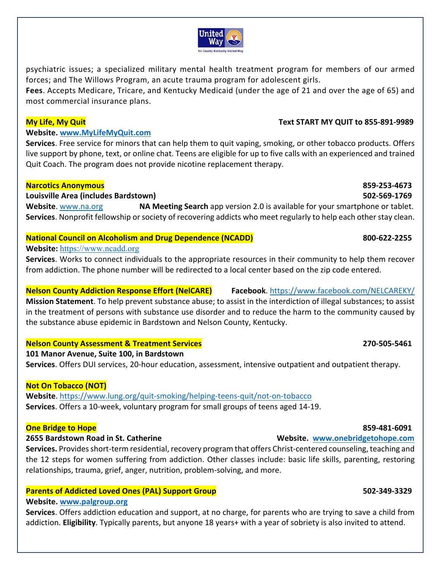### **My Life, My Quit Text START MY QUIT to 855‐891‐9989**

### **2655 Bardstown Road in St. Catherine Website. www.onebridgetohope.com**

**Services.** Provides short‐term residential, recovery program that offers Christ‐centered counseling, teaching and the 12 steps for women suffering from addiction. Other classes include: basic life skills, parenting, restoring relationships, trauma, grief, anger, nutrition, problem‐solving, and more.

### **Parents of Addicted Loved Ones (PAL) Support Group 
<b>SO2-349-3329 502-349-3329**

### **Website. www.palgroup.org**

**Services**. Offers addiction education and support, at no charge, for parents who are trying to save a child from addiction. **Eligibility**. Typically parents, but anyone 18 years+ with a year of sobriety is also invited to attend.

# **One Bridge to Hope 859‐481‐6091**

# **101 Manor Avenue, Suite 100, in Bardstown**

**Nelson County Assessment & Treatment Services 270‐505‐5461**

**Services**. Offers DUI services, 20‐hour education, assessment, intensive outpatient and outpatient therapy.

### **Not On Tobacco (NOT)**

Website. https://www.lung.org/quit-smoking/helping-teens-quit/not-on-tobacco **Services**. Offers a 10‐week, voluntary program for small groups of teens aged 14‐19.



psychiatric issues; a specialized military mental health treatment program for members of our armed

**Fees**. Accepts Medicare, Tricare, and Kentucky Medicaid (under the age of 21 and over the age of 65) and

forces; and The Willows Program, an acute trauma program for adolescent girls.

# **Website. www.MyLifeMyQuit.com**

**Services**. Free service for minors that can help them to quit vaping, smoking, or other tobacco products. Offers live support by phone, text, or online chat. Teens are eligible for up to five calls with an experienced and trained Quit Coach. The program does not provide nicotine replacement therapy.

### **Narcotics Anonymous 859‐253‐4673**

### **Louisville Area (includes Bardstown) 502‐569‐1769**

most commercial insurance plans.

**Website**. www.na.org **NA Meeting Search** app version 2.0 is available for your smartphone or tablet. **Services**. Nonprofit fellowship or society of recovering addicts who meet regularly to help each other stay clean.

# **National Council on Alcoholism and Drug Dependence (NCADD) 800‐622‐2255**

## **Website:** https://www.ncadd.org

**Services**. Works to connect individuals to the appropriate resources in their community to help them recover from addiction. The phone number will be redirected to a local center based on the zip code entered.

**Nelson County Addiction Response Effort (NelCARE) Facebook**. https://www.facebook.com/NELCAREKY/ **Mission Statement**. To help prevent substance abuse; to assist in the interdiction of illegal substances; to assist in the treatment of persons with substance use disorder and to reduce the harm to the community caused by the substance abuse epidemic in Bardstown and Nelson County, Kentucky.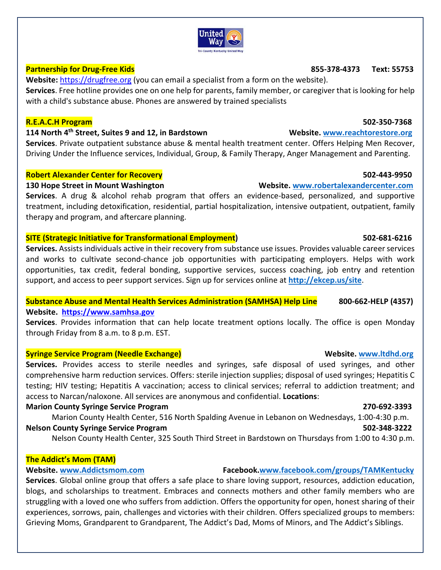### **Partnership for Drug‐Free Kids 855‐378‐4373 Text: 55753**

**Website:** https://drugfree.org (you can email a specialist from a form on the website).

**Services**. Free hotline provides one on one help for parents, family member, or caregiver that is looking for help with a child's substance abuse. Phones are answered by trained specialists

### **R.E.A.C.H Program 502‐350‐7368**

### **114 North 4th Street, Suites 9 and 12, in Bardstown Website. www.reachtorestore.org**

**Services**. Private outpatient substance abuse & mental health treatment center. Offers Helping Men Recover, Driving Under the Influence services, Individual, Group, & Family Therapy, Anger Management and Parenting.

### **Robert Alexander Center for Recovery 502‐443‐9950**

### **130 Hope Street in Mount Washington Website. www.robertalexandercenter.com**

**Services**. A drug & alcohol rehab program that offers an evidence‐based, personalized, and supportive treatment, including detoxification, residential, partial hospitalization, intensive outpatient, outpatient, family therapy and program, and aftercare planning.

### **SITE (Strategic Initiative for Transformational Employment) 502‐681‐6216**

**Services.** Assists individuals active in their recovery from substance use issues. Provides valuable career services and works to cultivate second‐chance job opportunities with participating employers. Helps with work opportunities, tax credit, federal bonding, supportive services, success coaching, job entry and retention support, and access to peer support services. Sign up for services online at **http://ekcep.us/site**.

# **Substance Abuse and Mental Health Services Administration (SAMHSA) Help Line 800‐662‐HELP (4357)**

### **Website. https://www.samhsa.gov**

**Services**. Provides information that can help locate treatment options locally. The office is open Monday through Friday from 8 a.m. to 8 p.m. EST.

### **Syringe Service Program (Needle Exchange) Website. www.ltdhd.org**

**Services.**  Provides access to sterile needles and syringes, safe disposal of used syringes, and other comprehensive harm reduction services. Offers: sterile injection supplies; disposal of used syringes; Hepatitis C testing; HIV testing; Hepatitis A vaccination; access to clinical services; referral to addiction treatment; and access to Narcan/naloxone. All services are anonymous and confidential. **Locations**:

### **Marion County Syringe Service Program 270‐692‐3393**

Marion County Health Center, 516 North Spalding Avenue in Lebanon on Wednesdays, 1:00‐4:30 p.m. **Nelson County Syringe Service Program 502‐348‐3222**

Nelson County Health Center, 325 South Third Street in Bardstown on Thursdays from 1:00 to 4:30 p.m.

### **The Addict's Mom (TAM)**

### **Website. www.Addictsmom.com Facebook.www.facebook.com/groups/TAMKentucky**

**Services**. Global online group that offers a safe place to share loving support, resources, addiction education, blogs, and scholarships to treatment. Embraces and connects mothers and other family members who are struggling with a loved one who suffers from addiction. Offers the opportunity for open, honest sharing of their experiences, sorrows, pain, challenges and victories with their children. Offers specialized groups to members: Grieving Moms, Grandparent to Grandparent, The Addict's Dad, Moms of Minors, and The Addict's Siblings.

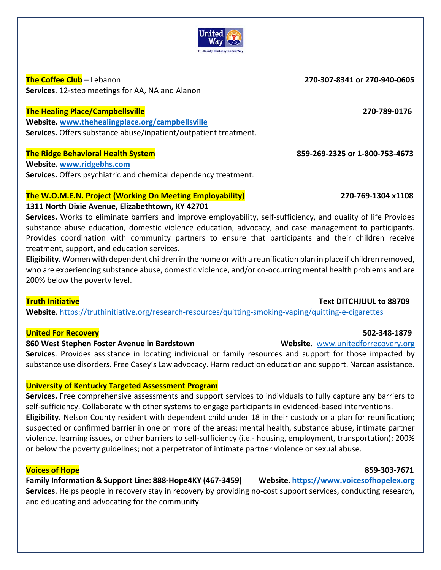

**The Coffee Club** – Lebanon **270‐307‐8341 or 270‐940‐0605 Services**. 12‐step meetings for AA, NA and Alanon

### **The Healing Place/Campbellsville 270‐789‐0176**

**Website. www.thehealingplace.org/campbellsville Services.** Offers substance abuse/inpatient/outpatient treatment.

### **The Ridge Behavioral Health System 859‐269‐2325 or 1‐800‐753‐4673**

**Website. www.ridgebhs.com Services.** Offers psychiatric and chemical dependency treatment.

### **The W.O.M.E.N. Project (Working On Meeting Employability) 270‐769‐1304 x1108**

### **1311 North Dixie Avenue, Elizabethtown, KY 42701**

**Services.** Works to eliminate barriers and improve employability, self‐sufficiency, and quality of life Provides substance abuse education, domestic violence education, advocacy, and case management to participants. Provides coordination with community partners to ensure that participants and their children receive treatment, support, and education services.

**Eligibility.** Women with dependent children in the home or with a reunification plan in place if children removed, who are experiencing substance abuse, domestic violence, and/or co-occurring mental health problems and are 200% below the poverty level.

### **Truth Initiative Text DITCHJUUL to 88709**

Website. https://truthinitiative.org/research-resources/quitting-smoking-vaping/quitting-e-cigarettes

### **United For Recovery 502‐348‐1879**

### **860 West Stephen Foster Avenue in Bardstown Website.** www.unitedforrecovery.org

**Services**. Provides assistance in locating individual or family resources and support for those impacted by substance use disorders. Free Casey's Law advocacy. Harm reduction education and support. Narcan assistance.

### **University of Kentucky Targeted Assessment Program**

**Services.** Free comprehensive assessments and support services to individuals to fully capture any barriers to self-sufficiency. Collaborate with other systems to engage participants in evidenced-based interventions. **Eligibility.** Nelson County resident with dependent child under 18 in their custody or a plan for reunification; suspected or confirmed barrier in one or more of the areas: mental health, substance abuse, intimate partner violence, learning issues, or other barriers to self‐sufficiency (i.e.‐ housing, employment, transportation); 200% or below the poverty guidelines; not a perpetrator of intimate partner violence or sexual abuse.

### **Voices of Hope 859‐303‐7671**

**Family Information & Support Line: 888‐Hope4KY (467‐3459) Website**. **https://www.voicesofhopelex.org Services**. Helps people in recovery stay in recovery by providing no‐cost support services, conducting research, and educating and advocating for the community.